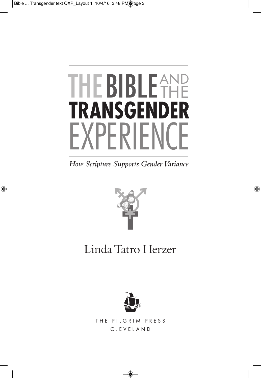# THE BIBLE AND THE **TRANSGENDER** EXPERIENCE

*How Scripture Supports Gender Variance*



# LindaTatro Herzer



THE PILGRIM PRESS C L E V E L A N D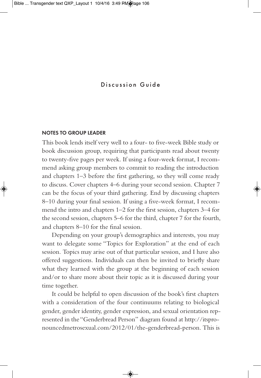#### Discussion Guide

#### **NOTES TO GROUP LEADER**

This book lends itself very well to a four- to five-week Bible study or book discussion group, requiring that participants read about twenty to twenty-five pages per week. If using a four-week format, I recommend asking group members to commit to reading the introduction and chapters 1–3 before the first gathering, so they will come ready to discuss. Cover chapters 4–6 during your second session. Chapter 7 can be the focus of your third gathering. End by discussing chapters 8–10 during your final session. If using a five-week format, I recommend the intro and chapters 1–2 for the first session, chapters 3–4 for the second session, chapters 5–6 for the third, chapter 7 for the fourth, and chapters 8–10 for the final session.

Depending on your group's demographics and interests, you may want to delegate some "Topics for Exploration" at the end of each session. Topics may arise out of that particular session, and I have also offered suggestions. Individuals can then be invited to briefly share what they learned with the group at the beginning of each session and/or to share more about their topic as it is discussed during your time together.

It could be helpful to open discussion of the book's first chapters with a consideration of the four continuums relating to biological gender, gender identity, gender expression, and sexual orientation represented in the "Genderbread Person" diagram found at http://itspronouncedmetrosexual.com/2012/01/the-genderbread-person. This is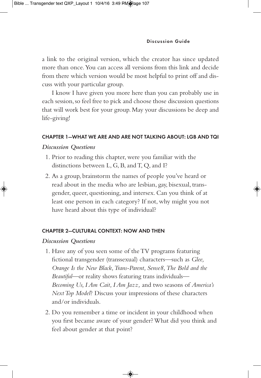a link to the original version, which the creator has since updated more than once. You can access all versions from this link and decide from there which version would be most helpful to print off and discuss with your particular group.

I know I have given you more here than you can probably use in each session, so feel free to pick and choose those discussion questions that will work best for your group. May your discussions be deep and life-giving!

#### **CHAPTER 1—WHAT WE ARE AND ARE NOT TALKING ABOUT: LGB AND TQI**

#### *Discussion Questions*

- 1. Prior to reading this chapter, were you familiar with the distinctions between L, G, B, and T, Q, and I?
- 2. As a group, brainstorm the names of people you've heard or read about in the media who are lesbian, gay, bisexual, transgender, queer, questioning, and intersex. Can you think of at least one person in each category? If not, why might you not have heard about this type of individual?

#### **CHAPTER 2—CULTURAL CONTEXT: NOW AND THEN**

- 1. Have any of you seen some of the TV programs featuring fictional transgender (transsexual) characters—such as *Glee, Orange Is the New Black,Trans-Parent, Sense8,The Bold and the Beautiful*—or reality shows featuring trans individuals— *Becoming Us, I Am Cait, I Am Jazz,* and two seasons of *America's Next Top Model*? Discuss your impressions of these characters and/or individuals.
- 2. Do you remember a time or incident in your childhood when you first became aware of your gender? What did you think and feel about gender at that point?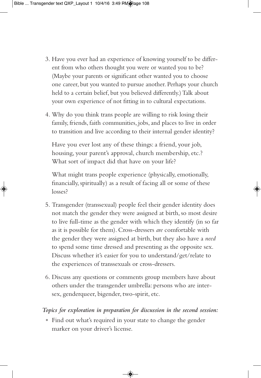- 3. Have you ever had an experience of knowing yourself to be different from who others thought you were or wanted you to be? (Maybe your parents or significant other wanted you to choose one career, but you wanted to pursue another. Perhaps your church held to a certain belief, but you believed differently.) Talk about your own experience of not fitting in to cultural expectations.
- 4. Why do you think trans people are willing to risk losing their family, friends, faith communities, jobs, and places to live in order to transition and live according to their internal gender identity?

Have you ever lost any of these things: a friend, your job, housing, your parent's approval, church membership, etc.? What sort of impact did that have on your life?

What might trans people experience (physically, emotionally, financially, spiritually) as a result of facing all or some of these losses?

- 5. Transgender (transsexual) people feel their gender identity does not match the gender they were assigned at birth, so most desire to live full-time as the gender with which they identify (in so far as it is possible for them). Cross-dressers *are* comfortable with the gender they were assigned at birth, but they also have a *need* to spend some time dressed and presenting as the opposite sex. Discuss whether it's easier for you to understand/get/relate to the experiences of transsexuals or cross-dressers.
- 6. Discuss any questions or comments group members have about others under the transgender umbrella: persons who are intersex, genderqueer, bigender, two-spirit, etc.

#### *Topics for exploration in preparation for discussion in the second session:*

• Find out what's required in your state to change the gender marker on your driver's license.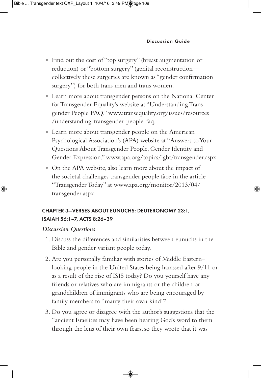- Find out the cost of "top surgery" (breast augmentation or reduction) or "bottom surgery" (genital reconstruction collectively these surgeries are known as "gender confirmation surgery") for both trans men and trans women.
- Learn more about transgender persons on the National Center for Transgender Equality's website at "Understanding Trans gender People FAQ," www.transequality.org/issues/resources /understanding-transgender-people-faq.
- Learn more about transgender people on the American Psychological Association's (APA) website at "Answers to Your Questions About Transgender People, Gender Identity and Gender Expression," www.apa.org/topics/lgbt/transgender.aspx.
- On the APA website, also learn more about the impact of the societal challenges transgender people face in the article "Transgender Today" at www.apa.org/monitor/2013/04/ transgender.aspx.

### **CHAPTER 3—VERSES ABOUT EUNUCHS: DEUTERONOMY 23:1, ISAIAH 56:1–7, ACTS 8:26–39**

- 1. Discuss the differences and similarities between eunuchs in the Bible and gender variant people today.
- 2. Are you personally familiar with stories of Middle Eastern– looking people in the United States being harassed after 9/11 or as a result of the rise of ISIS today? Do you yourself have any friends or relatives who are immigrants or the children or grandchildren of immigrants who are being encouraged by family members to "marry their own kind"?
- 3. Do you agree or disagree with the author's suggestions that the "ancient Israelites may have been hearing God's word to them through the lens of their own fears, so they wrote that it was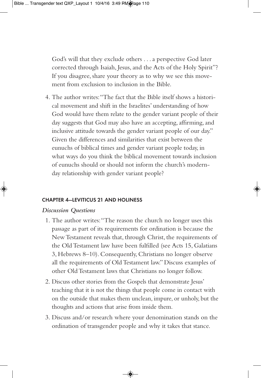God's will that they exclude others . . . a perspective God later corrected through Isaiah, Jesus, and the Acts of the Holy Spirit"? If you disagree, share your theory as to why we see this movement from exclusion to inclusion in the Bible.

4. The author writes: "The fact that the Bible itself shows a historical movement and shift in the Israelites' understanding of how God would have them relate to the gender variant people of their day suggests that God may also have an accepting, affirming, and inclusive attitude towards the gender variant people of our day." Given the differences and similarities that exist between the eunuchs of biblical times and gender variant people today, in what ways do you think the biblical movement towards inclusion of eunuchs should or should not inform the church's modern day relationship with gender variant people?

#### **CHAPTER 4—LEVITICUS 21 AND HOLINESS**

- 1. The author writes: "The reason the church no longer uses this passage as part of its requirements for ordination is because the New Testament reveals that, through Christ, the requirements of the Old Testament law have been fulfilled (see Acts 15, Galatians 3, Hebrews 8–10). Consequently, Christians no longer observe all the requirements of Old Testament law." Discuss examples of other Old Testament laws that Christians no longer follow.
- 2. Discuss other stories from the Gospels that demonstrate Jesus' teaching that it is not the things that people come in contact with on the outside that makes them unclean, impure, or unholy, but the thoughts and actions that arise from inside them.
- 3. Discuss and/or research where your denomination stands on the ordination of transgender people and why it takes that stance.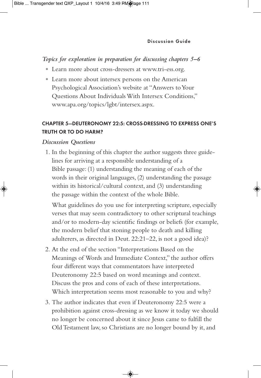#### *Topics for exploration in preparation for discussing chapters 5–6*

- Learn more about cross-dressers at www.tri-ess.org.
- Learn more about intersex persons on the American Psychological Association's website at "Answers to Your Questions About Individuals With Intersex Conditions," www.apa.org/topics/lgbt/intersex.aspx.

# **CHAPTER 5—DEUTERONOMY 22:5: CROSS-DRESSING TO EXPRESS ONE'S TRUTH OR TO DO HARM?**

#### *Discussion Questions*

1. In the beginning of this chapter the author suggests three guidelines for arriving at a responsible understanding of a Bible passage: (1) understanding the meaning of each of the words in their original languages, (2) understanding the passage within its historical/cultural context, and (3) understanding the passage within the context of the whole Bible.

What guidelines do you use for interpreting scripture, especially verses that may seem contradictory to other scriptural teachings and/or to modern-day scientific findings or beliefs (for example, the modern belief that stoning people to death and killing adulterers, as directed in Deut. 22:21–22, is not a good idea)?

- 2. At the end of the section "Interpretations Based on the Meanings of Words and Immediate Context," the author offers four different ways that commentators have interpreted Deuteronomy 22:5 based on word meanings and context. Discuss the pros and cons of each of these interpretations. Which interpretation seems most reasonable to you and why?
- 3. The author indicates that even if Deuteronomy 22:5 were a prohibition against cross-dressing as we know it today we should no longer be concerned about it since Jesus came to fulfill the Old Testament law, so Christians are no longer bound by it, and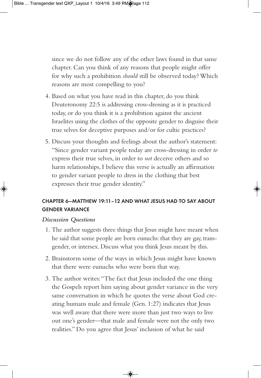since we do not follow any of the other laws found in that same chapter. Can you think of any reasons that people might offer for why such a prohibition *should* still be observed today? Which reasons are most compelling to you?

- 4. Based on what you have read in this chapter, do you think Deuteronomy 22:5 is addressing cross-dressing as it is practiced today, or do you think it is a prohibition against the ancient Israelites using the clothes of the opposite gender to disguise their true selves for deceptive purposes and/or for cultic practices?
- 5. Discuss your thoughts and feelings about the author's statement: "Since gender variant people today are cross-dressing in order *to* express their true selves, in order to *not* deceive others and so harm relationships, I believe this verse is actually an affirmation to gender variant people to dress in the clothing that best expresses their true gender identity."

# **CHAPTER 6—MATTHEW 19:11–12 AND WHAT JESUS HAD TO SAY ABOUT GENDER VARIANCE**

- 1. The author suggests three things that Jesus might have meant when he said that some people are born eunuchs: that they are gay, transgender, or intersex. Discuss what you think Jesus meant by this.
- 2. Brainstorm some of the ways in which Jesus might have known that there were eunuchs who were born that way.
- 3. The author writes: "The fact that Jesus included the one thing the Gospels report him saying about gender variance in the very same conversation in which he quotes the verse about God creating humans male and female (Gen. 1:27) indicates that Jesus was well aware that there were more than just two ways to live out one's gender—that male and female were not the only two realities." Do you agree that Jesus' inclusion of what he said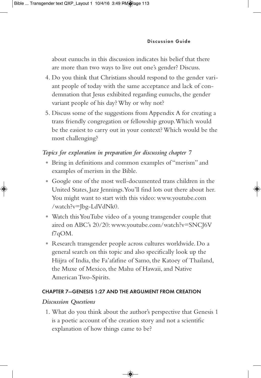about eunuchs in this discussion indicates his belief that there are more than two ways to live out one's gender? Discuss.

- 4. Do you think that Christians should respond to the gender variant people of today with the same acceptance and lack of condemnation that Jesus exhibited regarding eunuchs, the gender variant people of his day? Why or why not?
- 5. Discuss some of the suggestions from Appendix A for creating a trans friendly congregation or fellowship group. Which would be the easiest to carry out in your context? Which would be the most challenging?

# *Topics for exploration in preparation for discussing chapter 7*

- Bring in definitions and common examples of "merism" and examples of merism in the Bible.
- Google one of the most well-documented trans children in the United States, Jazz Jennings. You'll find lots out there about her. You might want to start with this video: www.youtube.com /watch?v=Jbg-LdVdNk0.
- Watch this YouTube video of a young transgender couple that aired on ABC's 20/20: www.youtube.com/watch?v=SNCJ6V f7qOM.
- Research transgender people across cultures worldwide. Do a general search on this topic and also specifically look up the Hiijra of India, the Fa'afafine of Samo, the Katoey of Thailand, the Muxe of Mexico, the Mahu of Hawaii, and Native American Two-Spirits.

# **CHAPTER 7—GENESIS 1:27 AND THE ARGUMENT FROM CREATION**

# *Discussion Questions*

1. What do you think about the author's perspective that Genesis 1 is a poetic account of the creation story and not a scientific explanation of how things came to be?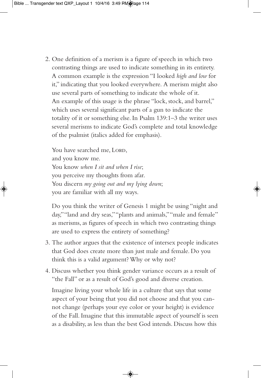2. One definition of a merism is a figure of speech in which two contrasting things are used to indicate something in its entirety. A common example is the expression "I looked *high and low* for it," indicating that you looked everywhere. A merism might also use several parts of something to indicate the whole of it. An example of this usage is the phrase "lock, stock, and barrel," which uses several significant parts of a gun to indicate the totality of it or something else. In Psalm 139:1–3 the writer uses several merisms to indicate God's complete and total knowledge of the psalmist (italics added for emphasis).

You have searched me, LORD, and you know me. You know *when I sit and when I rise*; you perceive my thoughts from afar. You discern *my going out and my lying down*; you are familiar with all my ways.

Do you think the writer of Genesis 1 might be using "night and day," "land and dry seas," "plants and animals," "male and female" as merisms, as figures of speech in which two contrasting things are used to express the entirety of something?

- 3. The author argues that the existence of intersex people indicates that God does create more than just male and female. Do you think this is a valid argument? Why or why not?
- 4. Discuss whether you think gender variance occurs as a result of "the Fall" or as a result of God's good and diverse creation.

Imagine living your whole life in a culture that says that some aspect of your being that you did not choose and that you cannot change (perhaps your eye color or your height) is evidence of the Fall. Imagine that this immutable aspect of yourself is seen as a disability, as less than the best God intends. Discuss how this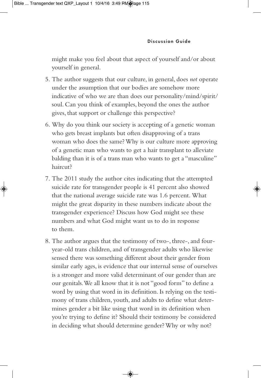might make you feel about that aspect of yourself and/or about yourself in general.

- 5. The author suggests that our culture, in general, does *not* operate under the assumption that our bodies are somehow more indicative of who we are than does our personality/mind/spirit/ soul. Can you think of examples, beyond the ones the author gives, that support or challenge this perspective?
- 6. Why do you think our society is accepting of a genetic woman who gets breast implants but often disapproving of a trans woman who does the same? Why is our culture more approving of a genetic man who wants to get a hair transplant to alleviate balding than it is of a trans man who wants to get a "masculine" haircut?
- 7. The 2011 study the author cites indicating that the attempted suicide rate for transgender people is 41 percent also showed that the national average suicide rate was 1.6 percent. What might the great disparity in these numbers indicate about the transgender experience? Discuss how God might see these numbers and what God might want us to do in response to them.
- 8. The author argues that the testimony of two-, three-, and fouryear-old trans children, and of transgender adults who likewise sensed there was something different about their gender from similar early ages, is evidence that our internal sense of ourselves is a stronger and more valid determinant of our gender than are our genitals. We all know that it is not "good form" to define a word by using that word in its definition. Is relying on the testimony of trans children, youth, and adults to define what determines gender a bit like using that word in its definition when you're trying to define it? Should their testimony be considered in deciding what should determine gender? Why or why not?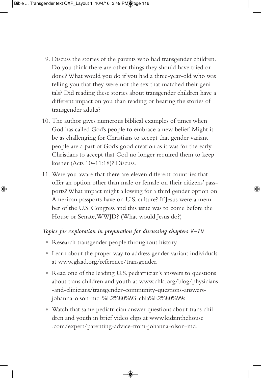- 9. Discuss the stories of the parents who had transgender children. Do you think there are other things they should have tried or done? What would you do if you had a three-year-old who was telling you that they were not the sex that matched their genitals? Did reading these stories about transgender children have a different impact on you than reading or hearing the stories of transgender adults?
- 10. The author gives numerous biblical examples of times when God has called God's people to embrace a new belief. Might it be as challenging for Christians to accept that gender variant people are a part of God's good creation as it was for the early Christians to accept that God no longer required them to keep kosher (Acts 10–11:18)? Discuss.
- 11. Were you aware that there are eleven different countries that offer an option other than male or female on their citizens' passports? What impact might allowing for a third gender option on American passports have on U.S. culture? If Jesus were a member of the U.S. Congress and this issue was to come before the House or Senate, WWJD? (What would Jesus do?)

#### *Topics for exploration in preparation for discussing chapters 8–10*

- Research transgender people throughout history.
- Learn about the proper way to address gender variant individuals at www.glaad.org/reference/transgender.
- Read one of the leading U.S. pediatrician's answers to questions about trans children and youth at www.chla.org/blog/physicians -and-clinicians/transgender-community-questions-answersjohanna-olson-md-%E2%80%93-chla%E2%80%99s.
- Watch that same pediatrician answer questions about trans children and youth in brief video clips at www.kidsinthehouse .com/expert/parenting-advice-from-johanna-olson-md.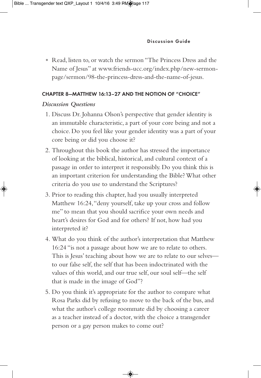• Read, listen to, or watch the sermon "The Princess Dress and the Name of Jesus" at www.friends-ucc.org/index.php/new-sermonpage/sermon/98-the-princess-dress-and-the-name-of-jesus.

#### **CHAPTER 8—MATTHEW 16:13–27 AND THE NOTION OF "CHOICE"**

- 1. Discuss Dr. Johanna Olson's perspective that gender identity is an immutable characteristic, a part of your core being and not a choice. Do you feel like your gender identity was a part of your core being or did you choose it?
- 2. Throughout this book the author has stressed the importance of looking at the biblical, historical, and cultural context of a passage in order to interpret it responsibly. Do you think this is an important criterion for understanding the Bible? What other criteria do you use to understand the Scriptures?
- 3. Prior to reading this chapter, had you usually interpreted Matthew 16:24, "deny yourself, take up your cross and follow me" to mean that you should sacrifice your own needs and heart's desires for God and for others? If not, how had you interpreted it?
- 4. What do you think of the author's interpretation that Matthew 16:24 "is not a passage about how we are to relate to others. This is Jesus' teaching about how we are to relate to our selves to our false self, the self that has been indoctrinated with the values of this world, and our true self, our soul self—the self that is made in the image of God"?
- 5. Do you think it's appropriate for the author to compare what Rosa Parks did by refusing to move to the back of the bus, and what the author's college roommate did by choosing a career as a teacher instead of a doctor, with the choice a transgender person or a gay person makes to come out?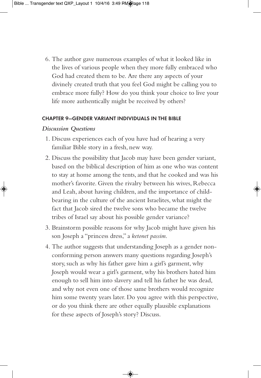6. The author gave numerous examples of what it looked like in the lives of various people when they more fully embraced who God had created them to be. Are there any aspects of your divinely created truth that you feel God might be calling you to embrace more fully? How do you think your choice to live your life more authentically might be received by others?

#### **CHAPTER 9—GENDER VARIANT INDIVIDUALS IN THE BIBLE**

- 1. Discuss experiences each of you have had of hearing a very familiar Bible story in a fresh, new way.
- 2. Discuss the possibility that Jacob may have been gender variant, based on the biblical description of him as one who was content to stay at home among the tents, and that he cooked and was his mother's favorite. Given the rivalry between his wives, Rebecca and Leah, about having children, and the importance of childbearing in the culture of the ancient Israelites, what might the fact that Jacob sired the twelve sons who became the twelve tribes of Israel say about his possible gender variance?
- 3. Brainstorm possible reasons for why Jacob might have given his son Joseph a "princess dress," a *ketonet passim*.
- 4. The author suggests that understanding Joseph as a gender nonconforming person answers many questions regarding Joseph's story, such as why his father gave him a girl's garment, why Joseph would wear a girl's garment, why his brothers hated him enough to sell him into slavery and tell his father he was dead, and why not even one of those same brothers would recognize him some twenty years later. Do you agree with this perspective, or do you think there are other equally plausible explanations for these aspects of Joseph's story? Discuss.